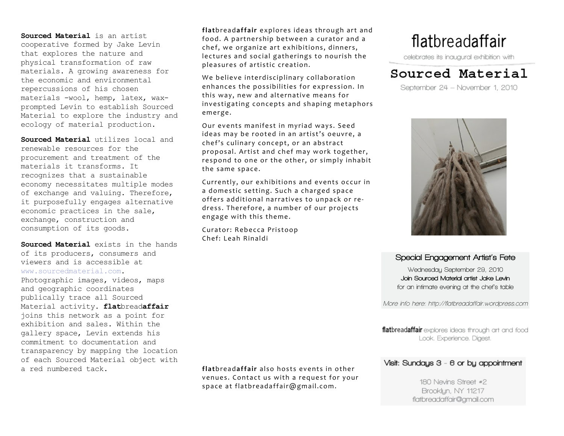**Sourced Material** is an artist cooperative formed by Jake Levin that explores the nature and physical transformation of raw materials. A growing awareness for the economic and environmental repercussions of his chosen materials -wool, hemp, latex, waxprompted Levin to establish Sourced Material to explore the industry and ecology of material production.

**Sourced Material** utilizes local and renewable resources for the procurement and treatment of the materials it transforms. It recognizes that a sustainable economy necessitates multiple modes of exchange and valuing. Therefore, it purposefully engages alternative economic practices in the sale, exchange, construction and consumption of its goods.

**Sourced Material** exists in the hands of its producers, consumers and viewers and is accessible at www.sourcedmaterial.com. Photographic images, videos, maps and geographic coordinates publically trace all Sourced Material activity. **flat**bread**affair** joins this network as a point for exhibition and sales. Within the gallery space, Levin extends his commitment to documentation and transparency by mapping the location of each Sourced Material object with a red numbered tack.

flatbreadaffair explores ideas through art and food. A partnership between a curator and a chef, we organize art exhibitions, dinners, lectures and social gatherings to nourish the pleasures of artistic creation.

We believe interdisciplinary collaboration enhances the possibilities for expression. In this way, new and alternative means for investigating concepts and shaping metaphors emerge.

Our events manifest in myriad ways. Seed ideas may be rooted in an artist's oeuvre, a chef's culinary concept, or an abstract proposal. Artist and chef may work together, respond to one or the other, or simply inhabit the same space.

Currently, our exhibitions and events occur in a domestic setting. Such a charged space offers additional narratives to unpack or redress. Therefore, a number of our projects engage with this theme.

Curator: Rebecca Pristoop Chef: Leah Rinaldi

flatbreadaffair

celebrates its inaugural exhibition with

## Sourced Material

September 24 - November 1, 2010



## Special Engagement Artist's Fete

Wednesday September 29, 2010 Join Sourced Material artist Jake Levin for an intimate evening at the chef's table

More info here: http://flatbreadaffair.wordpress.com

flatbreadaffair explores ideas through art and food Look. Experience. Digest.

## Visit: Sundays 3 - 6 or by appointment

180 Nevins Street #2 Brooklyn, NY 11217 flatbreadaffair@gmail.com

**flathreadaffair also hosts events in other** venues. Contact us with a request for your space at flatbreadaffair@gmail.com.